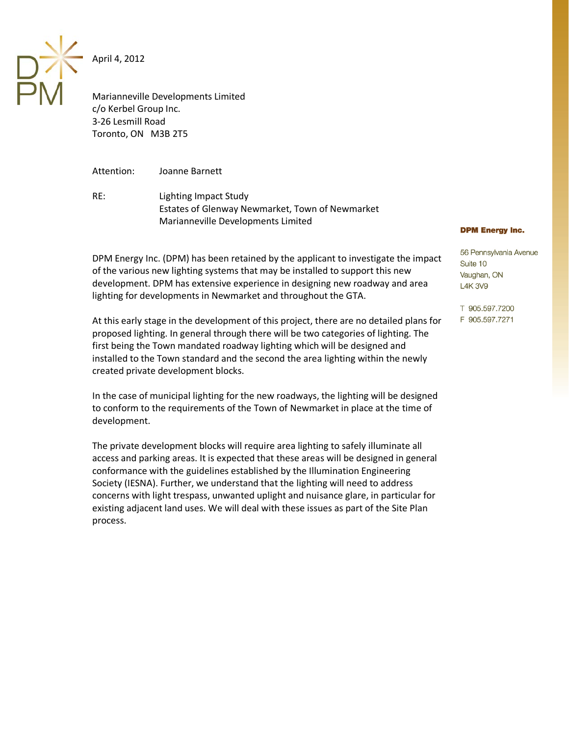April 4, 2012

Marianneville Developments Limited c/o Kerbel Group Inc. 3-26 Lesmill Road Toronto, ON M3B 2T5

Attention: Joanne Barnett

RE: Lighting Impact Study Estates of Glenway Newmarket, Town of Newmarket Marianneville Developments Limited

DPM Energy Inc. (DPM) has been retained by the applicant to investigate the impact of the various new lighting systems that may be installed to support this new development. DPM has extensive experience in designing new roadway and area lighting for developments in Newmarket and throughout the GTA.

At this early stage in the development of this project, there are no detailed plans for proposed lighting. In general through there will be two categories of lighting. The first being the Town mandated roadway lighting which will be designed and installed to the Town standard and the second the area lighting within the newly created private development blocks.

In the case of municipal lighting for the new roadways, the lighting will be designed to conform to the requirements of the Town of Newmarket in place at the time of development.

The private development blocks will require area lighting to safely illuminate all access and parking areas. It is expected that these areas will be designed in general conformance with the guidelines established by the Illumination Engineering Society (IESNA). Further, we understand that the lighting will need to address concerns with light trespass, unwanted uplight and nuisance glare, in particular for existing adjacent land uses. We will deal with these issues as part of the Site Plan process.

## **DPM Energy Inc.**

56 Pennsylvania Avenue Suite 10 Vaughan, ON **L4K3V9** 

T 905.597.7200 F 905.597.7271